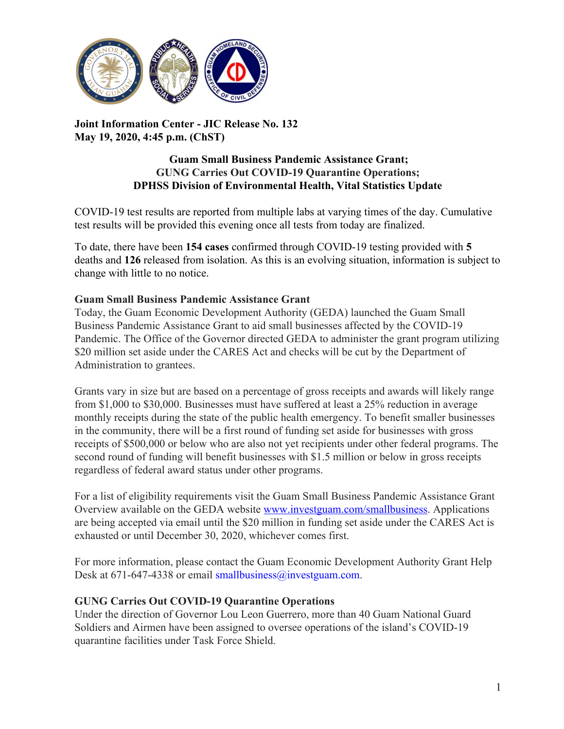

### **Joint Information Center - JIC Release No. 132 May 19, 2020, 4:45 p.m. (ChST)**

### **Guam Small Business Pandemic Assistance Grant; GUNG Carries Out COVID-19 Quarantine Operations; DPHSS Division of Environmental Health, Vital Statistics Update**

COVID-19 test results are reported from multiple labs at varying times of the day. Cumulative test results will be provided this evening once all tests from today are finalized.

To date, there have been **154 cases** confirmed through COVID-19 testing provided with **5** deaths and **126** released from isolation. As this is an evolving situation, information is subject to change with little to no notice.

### **Guam Small Business Pandemic Assistance Grant**

Today, the Guam Economic Development Authority (GEDA) launched the Guam Small Business Pandemic Assistance Grant to aid small businesses affected by the COVID-19 Pandemic. The Office of the Governor directed GEDA to administer the grant program utilizing \$20 million set aside under the CARES Act and checks will be cut by the Department of Administration to grantees.

Grants vary in size but are based on a percentage of gross receipts and awards will likely range from \$1,000 to \$30,000. Businesses must have suffered at least a 25% reduction in average monthly receipts during the state of the public health emergency. To benefit smaller businesses in the community, there will be a first round of funding set aside for businesses with gross receipts of \$500,000 or below who are also not yet recipients under other federal programs. The second round of funding will benefit businesses with \$1.5 million or below in gross receipts regardless of federal award status under other programs.

For a list of eligibility requirements visit the Guam Small Business Pandemic Assistance Grant Overview available on the GEDA website [www.investguam.com](http://www.investguam.com/)/smallbusiness. Applications are being accepted via email until the \$20 million in funding set aside under the CARES Act is exhausted or until December 30, 2020, whichever comes first.

For more information, please contact the Guam Economic Development Authority Grant Help Desk at 671-647-4338 or email smallbusiness@investguam.com.

## **GUNG Carries Out COVID-19 Quarantine Operations**

Under the direction of Governor Lou Leon Guerrero, more than 40 Guam National Guard Soldiers and Airmen have been assigned to oversee operations of the island's COVID-19 quarantine facilities under Task Force Shield.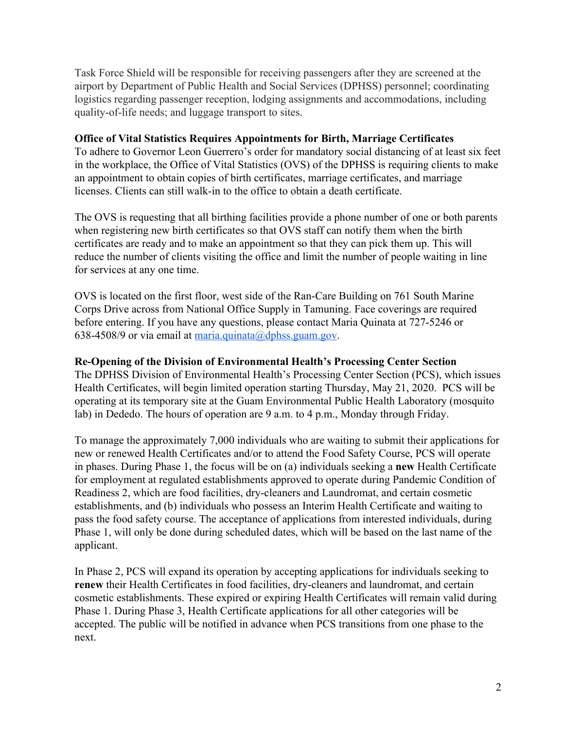Task Force Shield will be responsible for receiving passengers after they are screened at the airport by Department of Public Health and Social Services (DPHSS) personnel; coordinating logistics regarding passenger reception, lodging assignments and accommodations, including quality-of-life needs; and luggage transport to sites.

### **Office of Vital Statistics Requires Appointments for Birth, Marriage Certificates**

To adhere to Governor Leon Guerrero's order for mandatory social distancing of at least six feet in the workplace, the Office of Vital Statistics (OVS) of the DPHSS is requiring clients to make an appointment to obtain copies of birth certificates, marriage certificates, and marriage licenses. Clients can still walk-in to the office to obtain a death certificate.

The OVS is requesting that all birthing facilities provide a phone number of one or both parents when registering new birth certificates so that OVS staff can notify them when the birth certificates are ready and to make an appointment so that they can pick them up. This will reduce the number of clients visiting the office and limit the number of people waiting in line for services at any one time.

OVS is located on the first floor, west side of the Ran-Care Building on 761 South Marine Corps Drive across from National Office Supply in Tamuning. Face coverings are required before entering. If you have any questions, please contact Maria Quinata at 727-5246 or 638-4508/9 or via email at [maria.quinata@dphss.guam.gov.](mailto:maria.quinata@dphss.guam.gov)

#### **Re-Opening of the Division of Environmental Health's Processing Center Section**

The DPHSS Division of Environmental Health's Processing Center Section (PCS), which issues Health Certificates, will begin limited operation starting Thursday, May 21, 2020. PCS will be operating at its temporary site at the Guam Environmental Public Health Laboratory (mosquito lab) in Dededo. The hours of operation are 9 a.m. to 4 p.m., Monday through Friday.

To manage the approximately 7,000 individuals who are waiting to submit their applications for new or renewed Health Certificates and/or to attend the Food Safety Course, PCS will operate in phases. During Phase 1, the focus will be on (a) individuals seeking a **new** Health Certificate for employment at regulated establishments approved to operate during Pandemic Condition of Readiness 2, which are food facilities, dry-cleaners and Laundromat, and certain cosmetic establishments, and (b) individuals who possess an Interim Health Certificate and waiting to pass the food safety course. The acceptance of applications from interested individuals, during Phase 1, will only be done during scheduled dates, which will be based on the last name of the applicant.

In Phase 2, PCS will expand its operation by accepting applications for individuals seeking to **renew** their Health Certificates in food facilities, dry-cleaners and laundromat, and certain cosmetic establishments. These expired or expiring Health Certificates will remain valid during Phase 1. During Phase 3, Health Certificate applications for all other categories will be accepted. The public will be notified in advance when PCS transitions from one phase to the next.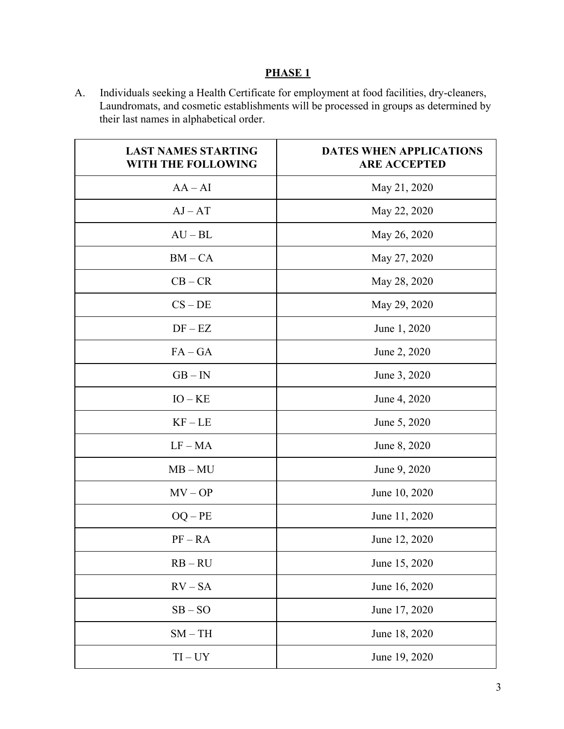# **PHASE 1**

A. Individuals seeking a Health Certificate for employment at food facilities, dry-cleaners, Laundromats, and cosmetic establishments will be processed in groups as determined by their last names in alphabetical order.

| <b>LAST NAMES STARTING</b><br>WITH THE FOLLOWING | <b>DATES WHEN APPLICATIONS</b><br><b>ARE ACCEPTED</b> |
|--------------------------------------------------|-------------------------------------------------------|
| $AA - AI$                                        | May 21, 2020                                          |
| $AJ - AT$                                        | May 22, 2020                                          |
| $AU - BL$                                        | May 26, 2020                                          |
| $BM - CA$                                        | May 27, 2020                                          |
| $CB - CR$                                        | May 28, 2020                                          |
| $CS - DE$                                        | May 29, 2020                                          |
| $DF - EZ$                                        | June 1, 2020                                          |
| $FA-GA$                                          | June 2, 2020                                          |
| $GB - IN$                                        | June 3, 2020                                          |
| $IO - KE$                                        | June 4, 2020                                          |
| $KF - LE$                                        | June 5, 2020                                          |
| $LF - MA$                                        | June 8, 2020                                          |
| $MB - MU$                                        | June 9, 2020                                          |
| $MV - OP$                                        | June 10, 2020                                         |
| $OQ - PE$                                        | June 11, 2020                                         |
| $PF - RA$                                        | June 12, 2020                                         |
| $RB - RU$                                        | June 15, 2020                                         |
| $RV - SA$                                        | June 16, 2020                                         |
| $SB - SO$                                        | June 17, 2020                                         |
| $SM - TH$                                        | June 18, 2020                                         |
| $TI - UY$                                        | June 19, 2020                                         |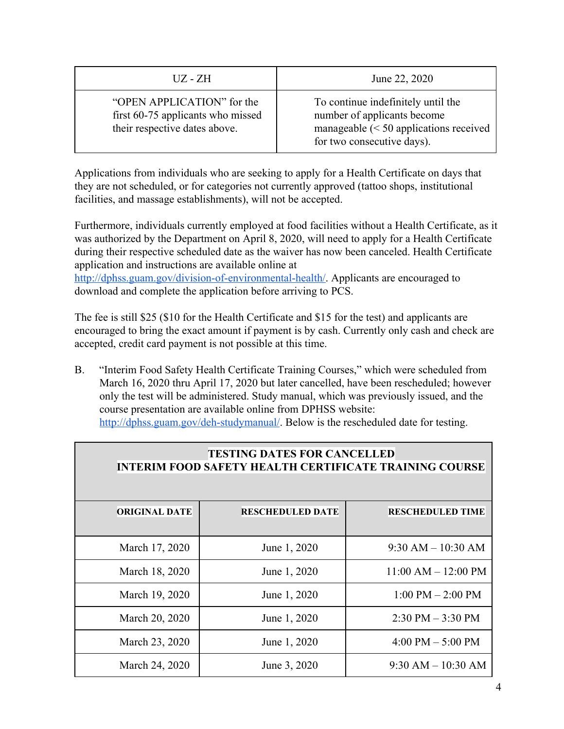| $UZ - ZH$                                                                                        | June 22, 2020                                                                                                                               |
|--------------------------------------------------------------------------------------------------|---------------------------------------------------------------------------------------------------------------------------------------------|
| "OPEN APPLICATION" for the<br>first 60-75 applicants who missed<br>their respective dates above. | To continue indefinitely until the<br>number of applicants become<br>manageable $(< 50$ applications received<br>for two consecutive days). |

Applications from individuals who are seeking to apply for a Health Certificate on days that they are not scheduled, or for categories not currently approved (tattoo shops, institutional facilities, and massage establishments), will not be accepted.

Furthermore, individuals currently employed at food facilities without a Health Certificate, as it was authorized by the Department on April 8, 2020, will need to apply for a Health Certificate during their respective scheduled date as the waiver has now been canceled. Health Certificate application and instructions are available online at

[http://dphss.guam.gov/division-of-environmental-health/.](http://dphss.guam.gov/division-of-environmental-health/) Applicants are encouraged to download and complete the application before arriving to PCS.

The fee is still \$25 (\$10 for the Health Certificate and \$15 for the test) and applicants are encouraged to bring the exact amount if payment is by cash. Currently only cash and check are accepted, credit card payment is not possible at this time.

B. "Interim Food Safety Health Certificate Training Courses," which were scheduled from March 16, 2020 thru April 17, 2020 but later cancelled, have been rescheduled; however only the test will be administered. Study manual, which was previously issued, and the course presentation are available online from DPHSS website[:](http://dphss.guam.gov/deh-studymanual/) [http://dphss.guam.gov/deh-studymanual/.](http://dphss.guam.gov/deh-studymanual/) Below is the rescheduled date for testing.

| <b>TESTING DATES FOR CANCELLED</b><br><b>INTERIM FOOD SAFETY HEALTH CERTIFICATE TRAINING COURSE</b> |                         |                                     |  |
|-----------------------------------------------------------------------------------------------------|-------------------------|-------------------------------------|--|
|                                                                                                     |                         |                                     |  |
| <b>ORIGINAL DATE</b>                                                                                | <b>RESCHEDULED DATE</b> | <b>RESCHEDULED TIME</b>             |  |
| March 17, 2020                                                                                      | June 1, 2020            | $9:30$ AM $- 10:30$ AM              |  |
| March 18, 2020                                                                                      | June 1, 2020            | $11:00$ AM $- 12:00$ PM             |  |
| March 19, 2020                                                                                      | June 1, 2020            | $1:00$ PM $- 2:00$ PM               |  |
| March 20, 2020                                                                                      | June 1, 2020            | $2:30 \text{ PM} - 3:30 \text{ PM}$ |  |
| March 23, 2020                                                                                      | June 1, 2020            | $4:00 \text{ PM} - 5:00 \text{ PM}$ |  |
| March 24, 2020                                                                                      | June 3, 2020            | $9:30$ AM $- 10:30$ AM              |  |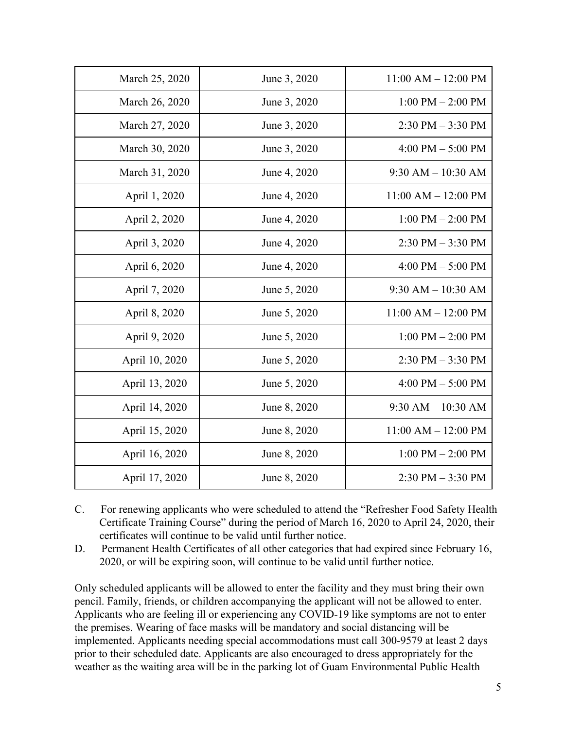| March 25, 2020 | June 3, 2020 | $11:00$ AM $- 12:00$ PM |
|----------------|--------------|-------------------------|
| March 26, 2020 | June 3, 2020 | $1:00$ PM $- 2:00$ PM   |
| March 27, 2020 | June 3, 2020 | $2:30$ PM $-3:30$ PM    |
| March 30, 2020 | June 3, 2020 | 4:00 PM $-$ 5:00 PM     |
| March 31, 2020 | June 4, 2020 | $9:30$ AM $- 10:30$ AM  |
| April 1, 2020  | June 4, 2020 | $11:00$ AM $- 12:00$ PM |
| April 2, 2020  | June 4, 2020 | $1:00$ PM $- 2:00$ PM   |
| April 3, 2020  | June 4, 2020 | $2:30$ PM $-3:30$ PM    |
| April 6, 2020  | June 4, 2020 | 4:00 PM $-$ 5:00 PM     |
| April 7, 2020  | June 5, 2020 | $9:30$ AM $- 10:30$ AM  |
| April 8, 2020  | June 5, 2020 | $11:00$ AM $- 12:00$ PM |
| April 9, 2020  | June 5, 2020 | $1:00$ PM $- 2:00$ PM   |
| April 10, 2020 | June 5, 2020 | $2:30$ PM $-3:30$ PM    |
| April 13, 2020 | June 5, 2020 | 4:00 PM $-$ 5:00 PM     |
| April 14, 2020 | June 8, 2020 | $9:30$ AM $- 10:30$ AM  |
| April 15, 2020 | June 8, 2020 | $11:00$ AM $- 12:00$ PM |
| April 16, 2020 | June 8, 2020 | $1:00$ PM $- 2:00$ PM   |
| April 17, 2020 | June 8, 2020 | $2:30$ PM $-3:30$ PM    |

- C. For renewing applicants who were scheduled to attend the "Refresher Food Safety Health Certificate Training Course" during the period of March 16, 2020 to April 24, 2020, their certificates will continue to be valid until further notice.
- D. Permanent Health Certificates of all other categories that had expired since February 16, 2020, or will be expiring soon, will continue to be valid until further notice.

Only scheduled applicants will be allowed to enter the facility and they must bring their own pencil. Family, friends, or children accompanying the applicant will not be allowed to enter. Applicants who are feeling ill or experiencing any COVID-19 like symptoms are not to enter the premises. Wearing of face masks will be mandatory and social distancing will be implemented. Applicants needing special accommodations must call 300-9579 at least 2 days prior to their scheduled date. Applicants are also encouraged to dress appropriately for the weather as the waiting area will be in the parking lot of Guam Environmental Public Health